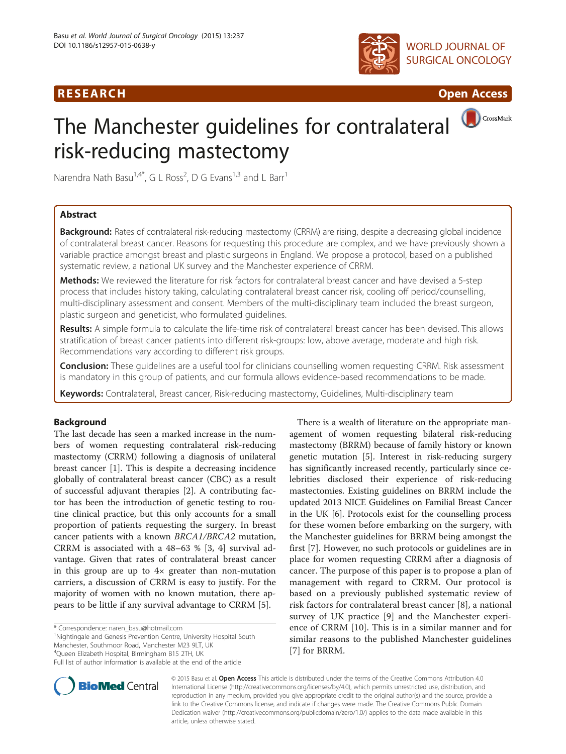## R E S EAR CH Open Access



CrossMark

# The Manchester guidelines for contralateral risk-reducing mastectomy



## Abstract

Background: Rates of contralateral risk-reducing mastectomy (CRRM) are rising, despite a decreasing global incidence of contralateral breast cancer. Reasons for requesting this procedure are complex, and we have previously shown a variable practice amongst breast and plastic surgeons in England. We propose a protocol, based on a published systematic review, a national UK survey and the Manchester experience of CRRM.

Methods: We reviewed the literature for risk factors for contralateral breast cancer and have devised a 5-step process that includes history taking, calculating contralateral breast cancer risk, cooling off period/counselling, multi-disciplinary assessment and consent. Members of the multi-disciplinary team included the breast surgeon, plastic surgeon and geneticist, who formulated guidelines.

Results: A simple formula to calculate the life-time risk of contralateral breast cancer has been devised. This allows stratification of breast cancer patients into different risk-groups: low, above average, moderate and high risk. Recommendations vary according to different risk groups.

Conclusion: These quidelines are a useful tool for clinicians counselling women requesting CRRM. Risk assessment is mandatory in this group of patients, and our formula allows evidence-based recommendations to be made.

Keywords: Contralateral, Breast cancer, Risk-reducing mastectomy, Guidelines, Multi-disciplinary team

### Background

The last decade has seen a marked increase in the numbers of women requesting contralateral risk-reducing mastectomy (CRRM) following a diagnosis of unilateral breast cancer [[1\]](#page-5-0). This is despite a decreasing incidence globally of contralateral breast cancer (CBC) as a result of successful adjuvant therapies [[2\]](#page-5-0). A contributing factor has been the introduction of genetic testing to routine clinical practice, but this only accounts for a small proportion of patients requesting the surgery. In breast cancer patients with a known BRCA1/BRCA2 mutation, CRRM is associated with a 48–63 % [\[3](#page-5-0), [4](#page-5-0)] survival advantage. Given that rates of contralateral breast cancer in this group are up to 4× greater than non-mutation carriers, a discussion of CRRM is easy to justify. For the majority of women with no known mutation, there appears to be little if any survival advantage to CRRM [[5\]](#page-5-0).

\* Correspondence: [naren\\_basu@hotmail.com](mailto:naren_basu@hotmail.com) <sup>1</sup>

Nightingale and Genesis Prevention Centre, University Hospital South Manchester, Southmoor Road, Manchester M23 9LT, UK

4 Queen Elizabeth Hospital, Birmingham B15 2TH, UK

There is a wealth of literature on the appropriate management of women requesting bilateral risk-reducing mastectomy (BRRM) because of family history or known genetic mutation [[5](#page-5-0)]. Interest in risk-reducing surgery has significantly increased recently, particularly since celebrities disclosed their experience of risk-reducing mastectomies. Existing guidelines on BRRM include the updated 2013 NICE Guidelines on Familial Breast Cancer in the UK [\[6](#page-5-0)]. Protocols exist for the counselling process for these women before embarking on the surgery, with the Manchester guidelines for BRRM being amongst the first [\[7](#page-5-0)]. However, no such protocols or guidelines are in place for women requesting CRRM after a diagnosis of cancer. The purpose of this paper is to propose a plan of management with regard to CRRM. Our protocol is based on a previously published systematic review of risk factors for contralateral breast cancer [\[8](#page-5-0)], a national survey of UK practice [[9\]](#page-5-0) and the Manchester experience of CRRM [[10\]](#page-5-0). This is in a similar manner and for similar reasons to the published Manchester guidelines [[7\]](#page-5-0) for BRRM.



© 2015 Basu et al. Open Access This article is distributed under the terms of the Creative Commons Attribution 4.0 International License [\(http://creativecommons.org/licenses/by/4.0](http://creativecommons.org/licenses/by/4.0)), which permits unrestricted use, distribution, and reproduction in any medium, provided you give appropriate credit to the original author(s) and the source, provide a link to the Creative Commons license, and indicate if changes were made. The Creative Commons Public Domain Dedication waiver ([http://creativecommons.org/publicdomain/zero/1.0/\)](http://creativecommons.org/publicdomain/zero/1.0/) applies to the data made available in this article, unless otherwise stated.

Full list of author information is available at the end of the article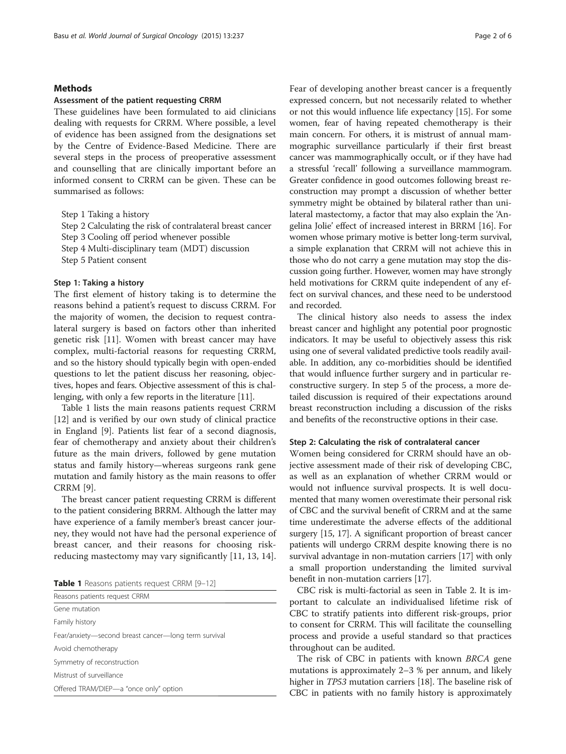#### **Methods**

#### Assessment of the patient requesting CRRM

These guidelines have been formulated to aid clinicians dealing with requests for CRRM. Where possible, a level of evidence has been assigned from the designations set by the Centre of Evidence-Based Medicine. There are several steps in the process of preoperative assessment and counselling that are clinically important before an informed consent to CRRM can be given. These can be summarised as follows:

Step 1 Taking a history

Step 2 Calculating the risk of contralateral breast cancer Step 3 Cooling off period whenever possible Step 4 Multi-disciplinary team (MDT) discussion Step 5 Patient consent

#### Step 1: Taking a history

The first element of history taking is to determine the reasons behind a patient's request to discuss CRRM. For the majority of women, the decision to request contralateral surgery is based on factors other than inherited genetic risk [\[11](#page-5-0)]. Women with breast cancer may have complex, multi-factorial reasons for requesting CRRM, and so the history should typically begin with open-ended questions to let the patient discuss her reasoning, objectives, hopes and fears. Objective assessment of this is challenging, with only a few reports in the literature [\[11\]](#page-5-0).

Table 1 lists the main reasons patients request CRRM [[12\]](#page-5-0) and is verified by our own study of clinical practice in England [[9\]](#page-5-0). Patients list fear of a second diagnosis, fear of chemotherapy and anxiety about their children's future as the main drivers, followed by gene mutation status and family history—whereas surgeons rank gene mutation and family history as the main reasons to offer CRRM [[9\]](#page-5-0).

The breast cancer patient requesting CRRM is different to the patient considering BRRM. Although the latter may have experience of a family member's breast cancer journey, they would not have had the personal experience of breast cancer, and their reasons for choosing riskreducing mastectomy may vary significantly [\[11](#page-5-0), [13](#page-5-0), [14](#page-5-0)].

Table 1 Reasons patients request CRRM [\[9](#page-5-0)-[12\]](#page-5-0)

| Reasons patients request CRRM                        |
|------------------------------------------------------|
| Gene mutation                                        |
| Family history                                       |
| Fear/anxiety—second breast cancer—long term survival |
| Avoid chemotherapy                                   |
| Symmetry of reconstruction                           |
| Mistrust of surveillance                             |
| Offered TRAM/DIEP-a "once only" option               |
|                                                      |

Fear of developing another breast cancer is a frequently expressed concern, but not necessarily related to whether or not this would influence life expectancy [[15\]](#page-5-0). For some women, fear of having repeated chemotherapy is their main concern. For others, it is mistrust of annual mammographic surveillance particularly if their first breast cancer was mammographically occult, or if they have had a stressful 'recall' following a surveillance mammogram. Greater confidence in good outcomes following breast reconstruction may prompt a discussion of whether better symmetry might be obtained by bilateral rather than unilateral mastectomy, a factor that may also explain the 'Angelina Jolie' effect of increased interest in BRRM [[16\]](#page-5-0). For women whose primary motive is better long-term survival, a simple explanation that CRRM will not achieve this in those who do not carry a gene mutation may stop the discussion going further. However, women may have strongly held motivations for CRRM quite independent of any effect on survival chances, and these need to be understood and recorded.

The clinical history also needs to assess the index breast cancer and highlight any potential poor prognostic indicators. It may be useful to objectively assess this risk using one of several validated predictive tools readily available. In addition, any co-morbidities should be identified that would influence further surgery and in particular reconstructive surgery. In step 5 of the process, a more detailed discussion is required of their expectations around breast reconstruction including a discussion of the risks and benefits of the reconstructive options in their case.

#### Step 2: Calculating the risk of contralateral cancer

Women being considered for CRRM should have an objective assessment made of their risk of developing CBC, as well as an explanation of whether CRRM would or would not influence survival prospects. It is well documented that many women overestimate their personal risk of CBC and the survival benefit of CRRM and at the same time underestimate the adverse effects of the additional surgery [\[15, 17\]](#page-5-0). A significant proportion of breast cancer patients will undergo CRRM despite knowing there is no survival advantage in non-mutation carriers [[17](#page-5-0)] with only a small proportion understanding the limited survival benefit in non-mutation carriers [\[17\]](#page-5-0).

CBC risk is multi-factorial as seen in Table [2](#page-2-0). It is important to calculate an individualised lifetime risk of CBC to stratify patients into different risk-groups, prior to consent for CRRM. This will facilitate the counselling process and provide a useful standard so that practices throughout can be audited.

The risk of CBC in patients with known BRCA gene mutations is approximately 2–3 % per annum, and likely higher in TP53 mutation carriers [\[18](#page-5-0)]. The baseline risk of CBC in patients with no family history is approximately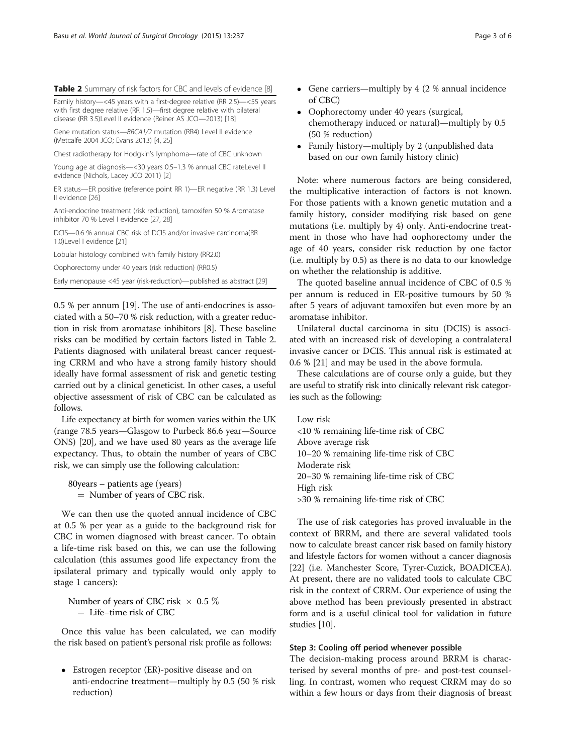<span id="page-2-0"></span>

| <b>Table 2</b> Summary of risk factors for CBC and levels of evidence [8] |  |  |  |
|---------------------------------------------------------------------------|--|--|--|
|---------------------------------------------------------------------------|--|--|--|

Family history—<45 years with a first-degree relative (RR 2.5)—<55 years with first degree relative (RR 1.5)—first degree relative with bilateral disease (RR 3.5)Level II evidence (Reiner AS JCO—2013) [[18](#page-5-0)]

Gene mutation status—BRCA1/2 mutation (RR4) Level II evidence (Metcalfe 2004 JCO; Evans 2013) [\[4](#page-5-0), [25](#page-5-0)]

Chest radiotherapy for Hodgkin's lymphoma—rate of CBC unknown

Young age at diagnosis—<30 years 0.5–1.3 % annual CBC rateLevel II evidence (Nichols, Lacey JCO 2011) [\[2\]](#page-5-0)

ER status—ER positive (reference point RR 1)—ER negative (RR 1.3) Level II evidence [[26](#page-5-0)]

Anti-endocrine treatment (risk reduction), tamoxifen 50 % Aromatase inhibitor 70 % Level I evidence [\[27,](#page-5-0) [28](#page-5-0)]

DCIS—0.6 % annual CBC risk of DCIS and/or invasive carcinoma(RR 1.0)Level I evidence [[21\]](#page-5-0)

Lobular histology combined with family history (RR2.0)

Oophorectomy under 40 years (risk reduction) (RR0.5)

Early menopause <45 year (risk-reduction)—published as abstract [[29](#page-5-0)]

0.5 % per annum [[19](#page-5-0)]. The use of anti-endocrines is associated with a 50–70 % risk reduction, with a greater reduction in risk from aromatase inhibitors [[8](#page-5-0)]. These baseline risks can be modified by certain factors listed in Table 2. Patients diagnosed with unilateral breast cancer requesting CRRM and who have a strong family history should ideally have formal assessment of risk and genetic testing carried out by a clinical geneticist. In other cases, a useful objective assessment of risk of CBC can be calculated as follows.

Life expectancy at birth for women varies within the UK (range 78.5 years—Glasgow to Purbeck 86.6 year—Source ONS) [\[20\]](#page-5-0), and we have used 80 years as the average life expectancy. Thus, to obtain the number of years of CBC risk, we can simply use the following calculation:

 $80$ years – patients age (years)  $=$  Number of years of CBC risk.

We can then use the quoted annual incidence of CBC at 0.5 % per year as a guide to the background risk for CBC in women diagnosed with breast cancer. To obtain a life-time risk based on this, we can use the following calculation (this assumes good life expectancy from the ipsilateral primary and typically would only apply to stage 1 cancers):

Number of years of CBC risk  $\times$  0.5 % ¼ Life−time risk of CBC

Once this value has been calculated, we can modify the risk based on patient's personal risk profile as follows:

 Estrogen receptor (ER)-positive disease and on anti-endocrine treatment—multiply by 0.5 (50 % risk reduction)

- Gene carriers—multiply by 4 (2 % annual incidence of CBC)
- Oophorectomy under 40 years (surgical, chemotherapy induced or natural)—multiply by 0.5 (50 % reduction)
- Family history—multiply by 2 (unpublished data based on our own family history clinic)

Note: where numerous factors are being considered, the multiplicative interaction of factors is not known. For those patients with a known genetic mutation and a family history, consider modifying risk based on gene mutations (i.e. multiply by 4) only. Anti-endocrine treatment in those who have had oophorectomy under the age of 40 years, consider risk reduction by one factor (i.e. multiply by 0.5) as there is no data to our knowledge on whether the relationship is additive.

The quoted baseline annual incidence of CBC of 0.5 % per annum is reduced in ER-positive tumours by 50 % after 5 years of adjuvant tamoxifen but even more by an aromatase inhibitor.

Unilateral ductal carcinoma in situ (DCIS) is associated with an increased risk of developing a contralateral invasive cancer or DCIS. This annual risk is estimated at 0.6 % [[21](#page-5-0)] and may be used in the above formula.

These calculations are of course only a guide, but they are useful to stratify risk into clinically relevant risk categories such as the following:

Low risk <10 % remaining life-time risk of CBC Above average risk 10–20 % remaining life-time risk of CBC Moderate risk 20–30 % remaining life-time risk of CBC High risk >30 % remaining life-time risk of CBC

The use of risk categories has proved invaluable in the context of BRRM, and there are several validated tools now to calculate breast cancer risk based on family history and lifestyle factors for women without a cancer diagnosis [[22](#page-5-0)] (i.e. Manchester Score, Tyrer-Cuzick, BOADICEA). At present, there are no validated tools to calculate CBC risk in the context of CRRM. Our experience of using the above method has been previously presented in abstract form and is a useful clinical tool for validation in future studies [\[10\]](#page-5-0).

#### Step 3: Cooling off period whenever possible

The decision-making process around BRRM is characterised by several months of pre- and post-test counselling. In contrast, women who request CRRM may do so within a few hours or days from their diagnosis of breast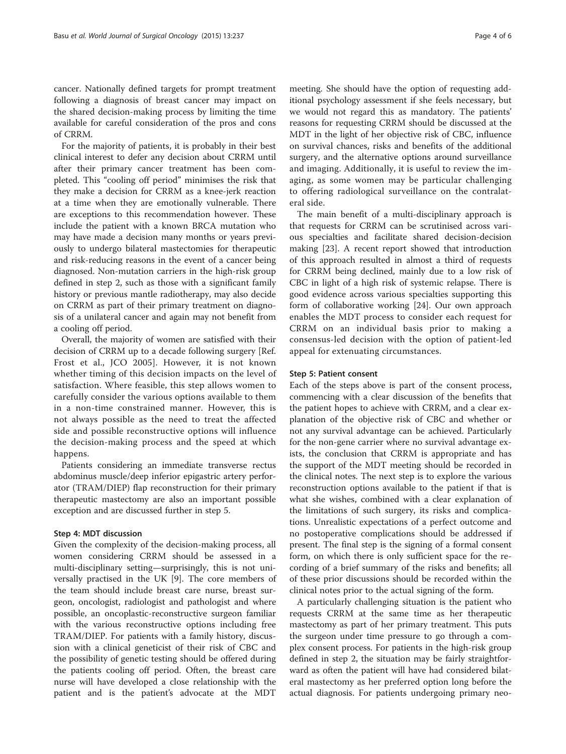For the majority of patients, it is probably in their best clinical interest to defer any decision about CRRM until after their primary cancer treatment has been completed. This "cooling off period" minimises the risk that they make a decision for CRRM as a knee-jerk reaction at a time when they are emotionally vulnerable. There are exceptions to this recommendation however. These include the patient with a known BRCA mutation who may have made a decision many months or years previously to undergo bilateral mastectomies for therapeutic and risk-reducing reasons in the event of a cancer being diagnosed. Non-mutation carriers in the high-risk group defined in step 2, such as those with a significant family history or previous mantle radiotherapy, may also decide on CRRM as part of their primary treatment on diagnosis of a unilateral cancer and again may not benefit from a cooling off period.

Overall, the majority of women are satisfied with their decision of CRRM up to a decade following surgery [Ref. Frost et al., JCO 2005]. However, it is not known whether timing of this decision impacts on the level of satisfaction. Where feasible, this step allows women to carefully consider the various options available to them in a non-time constrained manner. However, this is not always possible as the need to treat the affected side and possible reconstructive options will influence the decision-making process and the speed at which happens.

Patients considering an immediate transverse rectus abdominus muscle/deep inferior epigastric artery perforator (TRAM/DIEP) flap reconstruction for their primary therapeutic mastectomy are also an important possible exception and are discussed further in step 5.

#### Step 4: MDT discussion

Given the complexity of the decision-making process, all women considering CRRM should be assessed in a multi-disciplinary setting—surprisingly, this is not universally practised in the UK [\[9](#page-5-0)]. The core members of the team should include breast care nurse, breast surgeon, oncologist, radiologist and pathologist and where possible, an oncoplastic-reconstructive surgeon familiar with the various reconstructive options including free TRAM/DIEP. For patients with a family history, discussion with a clinical geneticist of their risk of CBC and the possibility of genetic testing should be offered during the patients cooling off period. Often, the breast care nurse will have developed a close relationship with the patient and is the patient's advocate at the MDT

meeting. She should have the option of requesting additional psychology assessment if she feels necessary, but we would not regard this as mandatory. The patients' reasons for requesting CRRM should be discussed at the MDT in the light of her objective risk of CBC, influence on survival chances, risks and benefits of the additional surgery, and the alternative options around surveillance and imaging. Additionally, it is useful to review the imaging, as some women may be particular challenging to offering radiological surveillance on the contralateral side.

The main benefit of a multi-disciplinary approach is that requests for CRRM can be scrutinised across various specialties and facilitate shared decision-decision making [\[23](#page-5-0)]. A recent report showed that introduction of this approach resulted in almost a third of requests for CRRM being declined, mainly due to a low risk of CBC in light of a high risk of systemic relapse. There is good evidence across various specialties supporting this form of collaborative working [\[24](#page-5-0)]. Our own approach enables the MDT process to consider each request for CRRM on an individual basis prior to making a consensus-led decision with the option of patient-led appeal for extenuating circumstances.

#### Step 5: Patient consent

Each of the steps above is part of the consent process, commencing with a clear discussion of the benefits that the patient hopes to achieve with CRRM, and a clear explanation of the objective risk of CBC and whether or not any survival advantage can be achieved. Particularly for the non-gene carrier where no survival advantage exists, the conclusion that CRRM is appropriate and has the support of the MDT meeting should be recorded in the clinical notes. The next step is to explore the various reconstruction options available to the patient if that is what she wishes, combined with a clear explanation of the limitations of such surgery, its risks and complications. Unrealistic expectations of a perfect outcome and no postoperative complications should be addressed if present. The final step is the signing of a formal consent form, on which there is only sufficient space for the recording of a brief summary of the risks and benefits; all of these prior discussions should be recorded within the clinical notes prior to the actual signing of the form.

A particularly challenging situation is the patient who requests CRRM at the same time as her therapeutic mastectomy as part of her primary treatment. This puts the surgeon under time pressure to go through a complex consent process. For patients in the high-risk group defined in step 2, the situation may be fairly straightforward as often the patient will have had considered bilateral mastectomy as her preferred option long before the actual diagnosis. For patients undergoing primary neo-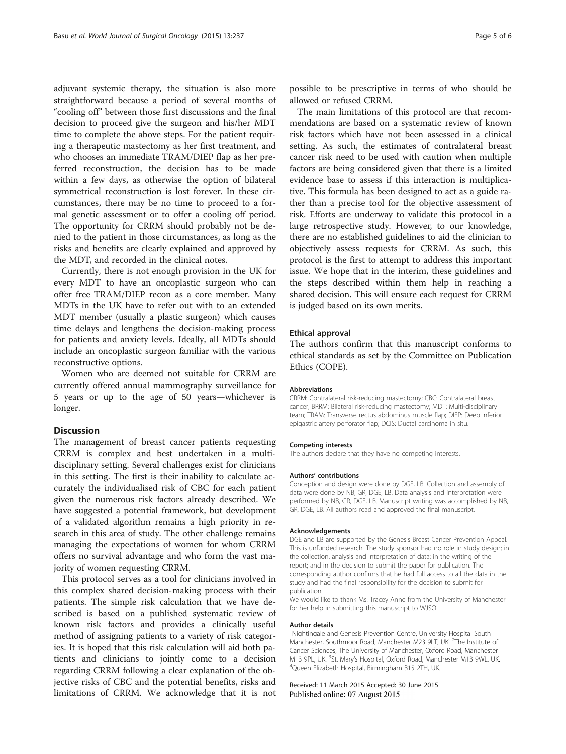adjuvant systemic therapy, the situation is also more straightforward because a period of several months of "cooling off" between those first discussions and the final decision to proceed give the surgeon and his/her MDT time to complete the above steps. For the patient requiring a therapeutic mastectomy as her first treatment, and who chooses an immediate TRAM/DIEP flap as her preferred reconstruction, the decision has to be made within a few days, as otherwise the option of bilateral symmetrical reconstruction is lost forever. In these circumstances, there may be no time to proceed to a formal genetic assessment or to offer a cooling off period. The opportunity for CRRM should probably not be denied to the patient in those circumstances, as long as the risks and benefits are clearly explained and approved by the MDT, and recorded in the clinical notes.

Currently, there is not enough provision in the UK for every MDT to have an oncoplastic surgeon who can offer free TRAM/DIEP recon as a core member. Many MDTs in the UK have to refer out with to an extended MDT member (usually a plastic surgeon) which causes time delays and lengthens the decision-making process for patients and anxiety levels. Ideally, all MDTs should include an oncoplastic surgeon familiar with the various reconstructive options.

Women who are deemed not suitable for CRRM are currently offered annual mammography surveillance for 5 years or up to the age of 50 years—whichever is longer.

#### Discussion

The management of breast cancer patients requesting CRRM is complex and best undertaken in a multidisciplinary setting. Several challenges exist for clinicians in this setting. The first is their inability to calculate accurately the individualised risk of CBC for each patient given the numerous risk factors already described. We have suggested a potential framework, but development of a validated algorithm remains a high priority in research in this area of study. The other challenge remains managing the expectations of women for whom CRRM offers no survival advantage and who form the vast majority of women requesting CRRM.

This protocol serves as a tool for clinicians involved in this complex shared decision-making process with their patients. The simple risk calculation that we have described is based on a published systematic review of known risk factors and provides a clinically useful method of assigning patients to a variety of risk categories. It is hoped that this risk calculation will aid both patients and clinicians to jointly come to a decision regarding CRRM following a clear explanation of the objective risks of CBC and the potential benefits, risks and limitations of CRRM. We acknowledge that it is not

possible to be prescriptive in terms of who should be allowed or refused CRRM.

The main limitations of this protocol are that recommendations are based on a systematic review of known risk factors which have not been assessed in a clinical setting. As such, the estimates of contralateral breast cancer risk need to be used with caution when multiple factors are being considered given that there is a limited evidence base to assess if this interaction is multiplicative. This formula has been designed to act as a guide rather than a precise tool for the objective assessment of risk. Efforts are underway to validate this protocol in a large retrospective study. However, to our knowledge, there are no established guidelines to aid the clinician to objectively assess requests for CRRM. As such, this protocol is the first to attempt to address this important issue. We hope that in the interim, these guidelines and the steps described within them help in reaching a shared decision. This will ensure each request for CRRM is judged based on its own merits.

#### Ethical approval

The authors confirm that this manuscript conforms to ethical standards as set by the Committee on Publication Ethics (COPE).

#### Abbreviations

CRRM: Contralateral risk-reducing mastectomy; CBC: Contralateral breast cancer; BRRM: Bilateral risk-reducing mastectomy; MDT: Multi-disciplinary team; TRAM: Transverse rectus abdominus muscle flap; DIEP: Deep inferior epigastric artery perforator flap; DCIS: Ductal carcinoma in situ.

#### Competing interests

The authors declare that they have no competing interests.

#### Authors' contributions

Conception and design were done by DGE, LB. Collection and assembly of data were done by NB, GR, DGE, LB. Data analysis and interpretation were performed by NB, GR, DGE, LB. Manuscript writing was accomplished by NB, GR, DGE, LB. All authors read and approved the final manuscript.

#### Acknowledgements

DGE and LB are supported by the Genesis Breast Cancer Prevention Appeal. This is unfunded research. The study sponsor had no role in study design; in the collection, analysis and interpretation of data; in the writing of the report; and in the decision to submit the paper for publication. The corresponding author confirms that he had full access to all the data in the study and had the final responsibility for the decision to submit for publication.

We would like to thank Ms. Tracey Anne from the University of Manchester for her help in submitting this manuscript to WJSO.

#### Author details

<sup>1</sup>Nightingale and Genesis Prevention Centre, University Hospital South Manchester, Southmoor Road, Manchester M23 9LT, UK. <sup>2</sup>The Institute of Cancer Sciences, The University of Manchester, Oxford Road, Manchester M13 9PL, UK. <sup>3</sup>St. Mary's Hospital, Oxford Road, Manchester M13 9WL, UK.<br><sup>4</sup>Queen Elizabeth Hospital, Birmingham R15 2TH LIK. Queen Elizabeth Hospital, Birmingham B15 2TH, UK.

Received: 11 March 2015 Accepted: 30 June 2015 Published online: 07 August 2015